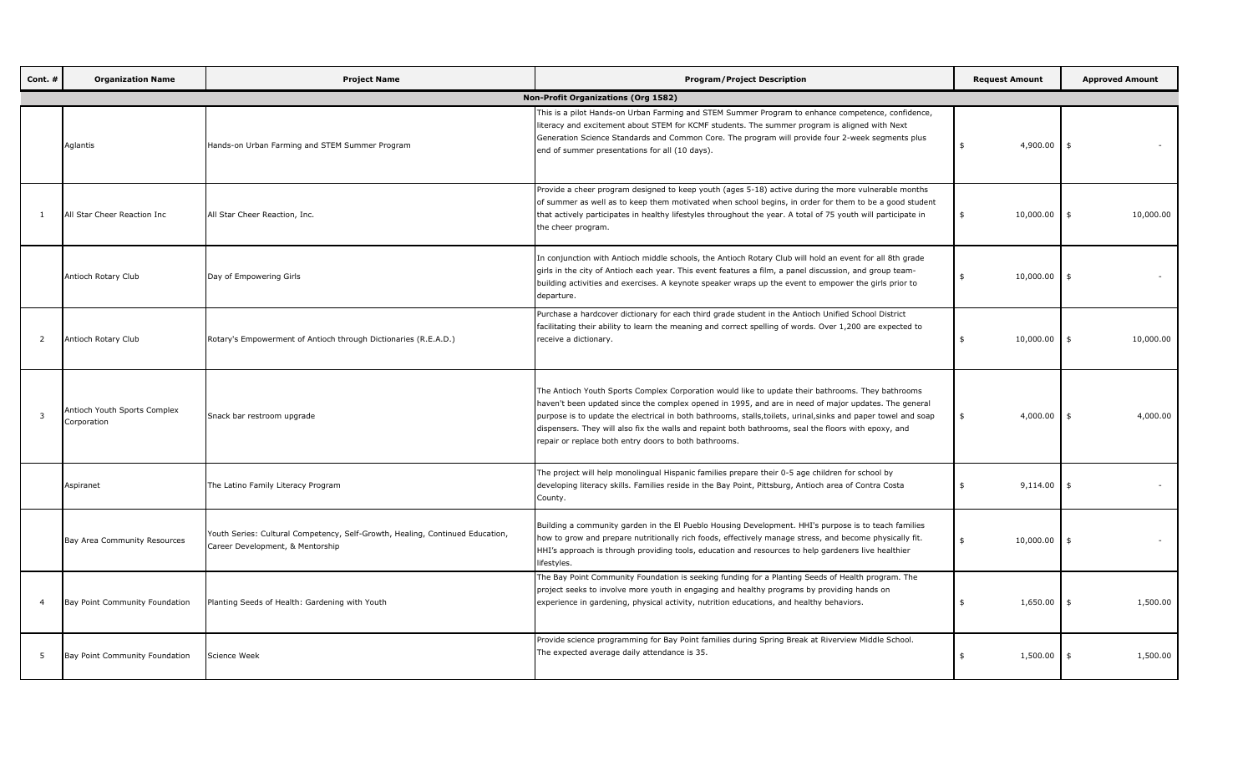| Cont. #        | <b>Organization Name</b>                    | <b>Project Name</b>                                                                                               | <b>Program/Project Description</b>                                                                                                                                                                                                                                                                                                                                                                                                                                                           | <b>Request Amount</b>         | <b>Approved Amount</b> |
|----------------|---------------------------------------------|-------------------------------------------------------------------------------------------------------------------|----------------------------------------------------------------------------------------------------------------------------------------------------------------------------------------------------------------------------------------------------------------------------------------------------------------------------------------------------------------------------------------------------------------------------------------------------------------------------------------------|-------------------------------|------------------------|
|                |                                             |                                                                                                                   | <b>Non-Profit Organizations (Org 1582)</b>                                                                                                                                                                                                                                                                                                                                                                                                                                                   |                               |                        |
|                | Aglantis                                    | Hands-on Urban Farming and STEM Summer Program                                                                    | This is a pilot Hands-on Urban Farming and STEM Summer Program to enhance competence, confidence,<br>literacy and excitement about STEM for KCMF students. The summer program is aligned with Next<br>Generation Science Standards and Common Core. The program will provide four 2-week segments plus<br>end of summer presentations for all (10 days).                                                                                                                                     | 4,900.00<br>$\ddot{\bm{\pi}}$ |                        |
| -1             | All Star Cheer Reaction Inc                 | All Star Cheer Reaction, Inc.                                                                                     | Provide a cheer program designed to keep youth (ages 5-18) active during the more vulnerable months<br>of summer as well as to keep them motivated when school begins, in order for them to be a good student<br>that actively participates in healthy lifestyles throughout the year. A total of 75 youth will participate in<br>the cheer program.                                                                                                                                         | 10,000.00                     | 10,000.00<br>-\$       |
|                | Antioch Rotary Club                         | Day of Empowering Girls                                                                                           | In conjunction with Antioch middle schools, the Antioch Rotary Club will hold an event for all 8th grade<br>girls in the city of Antioch each year. This event features a film, a panel discussion, and group team-<br>building activities and exercises. A keynote speaker wraps up the event to empower the girls prior to<br>departure.                                                                                                                                                   | 10,000.00                     |                        |
| 2              | Antioch Rotary Club                         | Rotary's Empowerment of Antioch through Dictionaries (R.E.A.D.)                                                   | Purchase a hardcover dictionary for each third grade student in the Antioch Unified School District<br>facilitating their ability to learn the meaning and correct spelling of words. Over 1,200 are expected to<br>receive a dictionary.                                                                                                                                                                                                                                                    | 10,000.00                     | 10,000.00<br>-\$       |
| $\overline{3}$ | Antioch Youth Sports Complex<br>Corporation | Snack bar restroom upgrade                                                                                        | The Antioch Youth Sports Complex Corporation would like to update their bathrooms. They bathrooms<br>haven't been updated since the complex opened in 1995, and are in need of major updates. The general<br>purpose is to update the electrical in both bathrooms, stalls, toilets, urinal, sinks and paper towel and soap<br>dispensers. They will also fix the walls and repaint both bathrooms, seal the floors with epoxy, and<br>repair or replace both entry doors to both bathrooms. | 4,000.00                      | 4,000.00<br>\$         |
|                | Aspiranet                                   | The Latino Family Literacy Program                                                                                | The project will help monolingual Hispanic families prepare their 0-5 age children for school by<br>developing literacy skills. Families reside in the Bay Point, Pittsburg, Antioch area of Contra Costa<br>County.                                                                                                                                                                                                                                                                         | 9,114.00                      | -\$                    |
|                | Bay Area Community Resources                | Youth Series: Cultural Competency, Self-Growth, Healing, Continued Education,<br>Career Development, & Mentorship | Building a community garden in the El Pueblo Housing Development. HHI's purpose is to teach families<br>how to grow and prepare nutritionally rich foods, effectively manage stress, and become physically fit.<br>HHI's approach is through providing tools, education and resources to help gardeners live healthier<br>lifestyles.                                                                                                                                                        | 10,000.00<br>\$               | - \$                   |
| $\overline{4}$ | Bay Point Community Foundation              | Planting Seeds of Health: Gardening with Youth                                                                    | The Bay Point Community Foundation is seeking funding for a Planting Seeds of Health program. The<br>project seeks to involve more youth in engaging and healthy programs by providing hands on<br>experience in gardening, physical activity, nutrition educations, and healthy behaviors.                                                                                                                                                                                                  | 1,650.00<br>\$                | 1,500.00               |
| 5              | Bay Point Community Foundation              | Science Week                                                                                                      | Provide science programming for Bay Point families during Spring Break at Riverview Middle School.<br>The expected average daily attendance is 35.                                                                                                                                                                                                                                                                                                                                           | 1,500.00                      | 1,500.00               |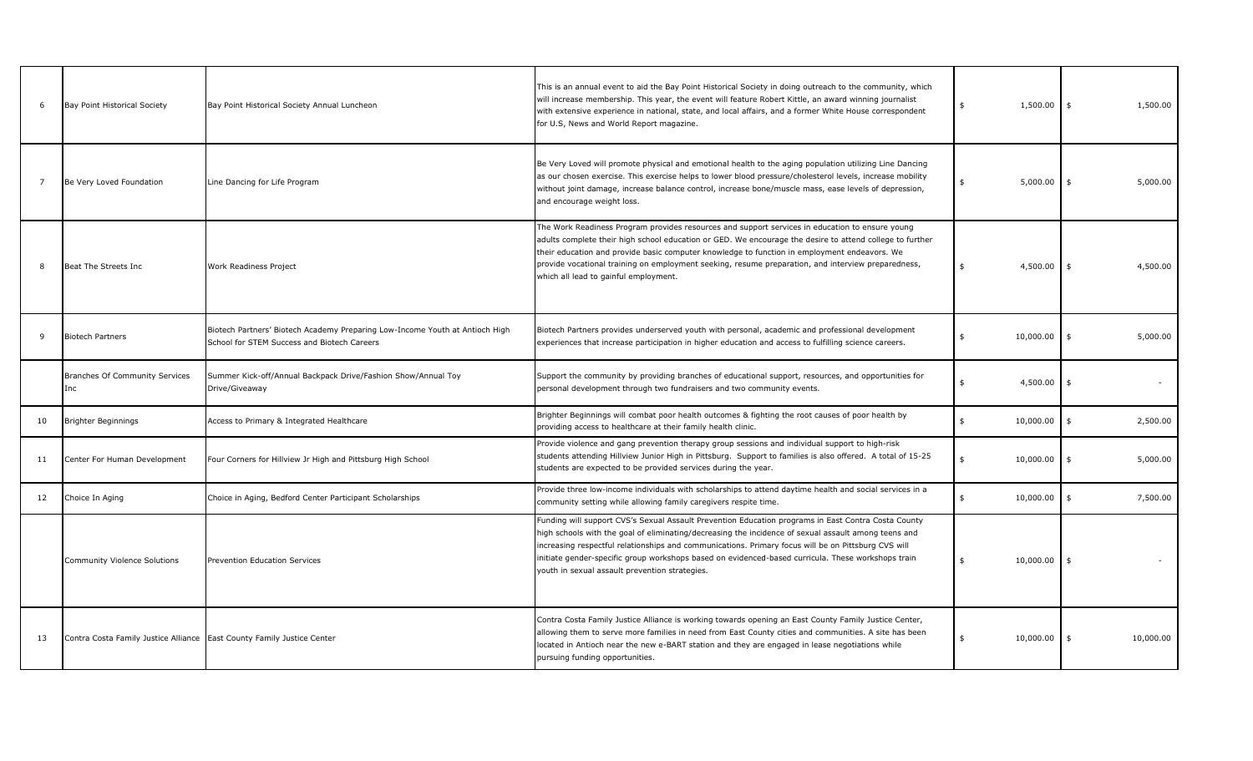| 6              | Bay Point Historical Society                                           | Bay Point Historical Society Annual Luncheon                                                                                | This is an annual event to aid the Bay Point Historical Society in doing outreach to the community, which<br>will increase membership. This year, the event will feature Robert Kittle, an award winning journalist<br>with extensive experience in national, state, and local affairs, and a former White House correspondent<br>for U.S, News and World Report magazine.                                                                                                 | 1,500.00        | 1,500.00<br>\$             |
|----------------|------------------------------------------------------------------------|-----------------------------------------------------------------------------------------------------------------------------|----------------------------------------------------------------------------------------------------------------------------------------------------------------------------------------------------------------------------------------------------------------------------------------------------------------------------------------------------------------------------------------------------------------------------------------------------------------------------|-----------------|----------------------------|
| $\overline{7}$ | Be Very Loved Foundation                                               | Line Dancing for Life Program                                                                                               | Be Very Loved will promote physical and emotional health to the aging population utilizing Line Dancing<br>as our chosen exercise. This exercise helps to lower blood pressure/cholesterol levels, increase mobility<br>without joint damage, increase balance control, increase bone/muscle mass, ease levels of depression,<br>and encourage weight loss.                                                                                                                | 5,000.00        | $\ddot{s}$<br>5,000.00     |
| 8              | Beat The Streets Inc                                                   | Work Readiness Project                                                                                                      | The Work Readiness Program provides resources and support services in education to ensure young<br>adults complete their high school education or GED. We encourage the desire to attend college to further<br>their education and provide basic computer knowledge to function in employment endeavors. We<br>provide vocational training on employment seeking, resume preparation, and interview preparedness,<br>which all lead to gainful employment.                 | 4,500.00<br>\$  | $\ddot{s}$<br>4,500.00     |
| -9             | <b>Biotech Partners</b>                                                | Biotech Partners' Biotech Academy Preparing Low-Income Youth at Antioch High<br>School for STEM Success and Biotech Careers | Biotech Partners provides underserved youth with personal, academic and professional development<br>experiences that increase participation in higher education and access to fulfilling science careers.                                                                                                                                                                                                                                                                  | 10,000.00<br>\$ | 5,000.00<br>\$             |
|                | <b>Branches Of Community Services</b><br>Inc                           | Summer Kick-off/Annual Backpack Drive/Fashion Show/Annual Toy<br>Drive/Giveaway                                             | Support the community by providing branches of educational support, resources, and opportunities for<br>personal development through two fundraisers and two community events.                                                                                                                                                                                                                                                                                             | 4,500.00        | \$<br>$\sim$               |
| 10             | <b>Brighter Beginnings</b>                                             | Access to Primary & Integrated Healthcare                                                                                   | Brighter Beginnings will combat poor health outcomes & fighting the root causes of poor health by<br>providing access to healthcare at their family health clinic.                                                                                                                                                                                                                                                                                                         | 10,000.00<br>ፍ  | $\ddot{s}$<br>2,500.00     |
| 11             | Center For Human Development                                           | Four Corners for Hillview Jr High and Pittsburg High School                                                                 | Provide violence and gang prevention therapy group sessions and individual support to high-risk<br>students attending Hillview Junior High in Pittsburg. Support to families is also offered. A total of 15-25<br>students are expected to be provided services during the year.                                                                                                                                                                                           | 10,000.00       | 5,000.00<br>\$             |
| 12             | Choice In Aging                                                        | Choice in Aging, Bedford Center Participant Scholarships                                                                    | Provide three low-income individuals with scholarships to attend daytime health and social services in a<br>community setting while allowing family caregivers respite time.                                                                                                                                                                                                                                                                                               | 10,000.00<br>\$ | $\mathfrak{s}$<br>7,500.00 |
|                | Community Violence Solutions                                           | <b>Prevention Education Services</b>                                                                                        | Funding will support CVS's Sexual Assault Prevention Education programs in East Contra Costa County<br>high schools with the goal of eliminating/decreasing the incidence of sexual assault among teens and<br>increasing respectful relationships and communications. Primary focus will be on Pittsburg CVS will<br>initiate gender-specific group workshops based on evidenced-based curricula. These workshops train<br>youth in sexual assault prevention strategies. | 10,000.00<br>\$ | $\mathfrak{s}$             |
| 13             | Contra Costa Family Justice Alliance East County Family Justice Center |                                                                                                                             | Contra Costa Family Justice Alliance is working towards opening an East County Family Justice Center,<br>allowing them to serve more families in need from East County cities and communities. A site has been<br>located in Antioch near the new e-BART station and they are engaged in lease negotiations while<br>pursuing funding opportunities.                                                                                                                       | 10,000.00<br>\$ | \$<br>10,000.00            |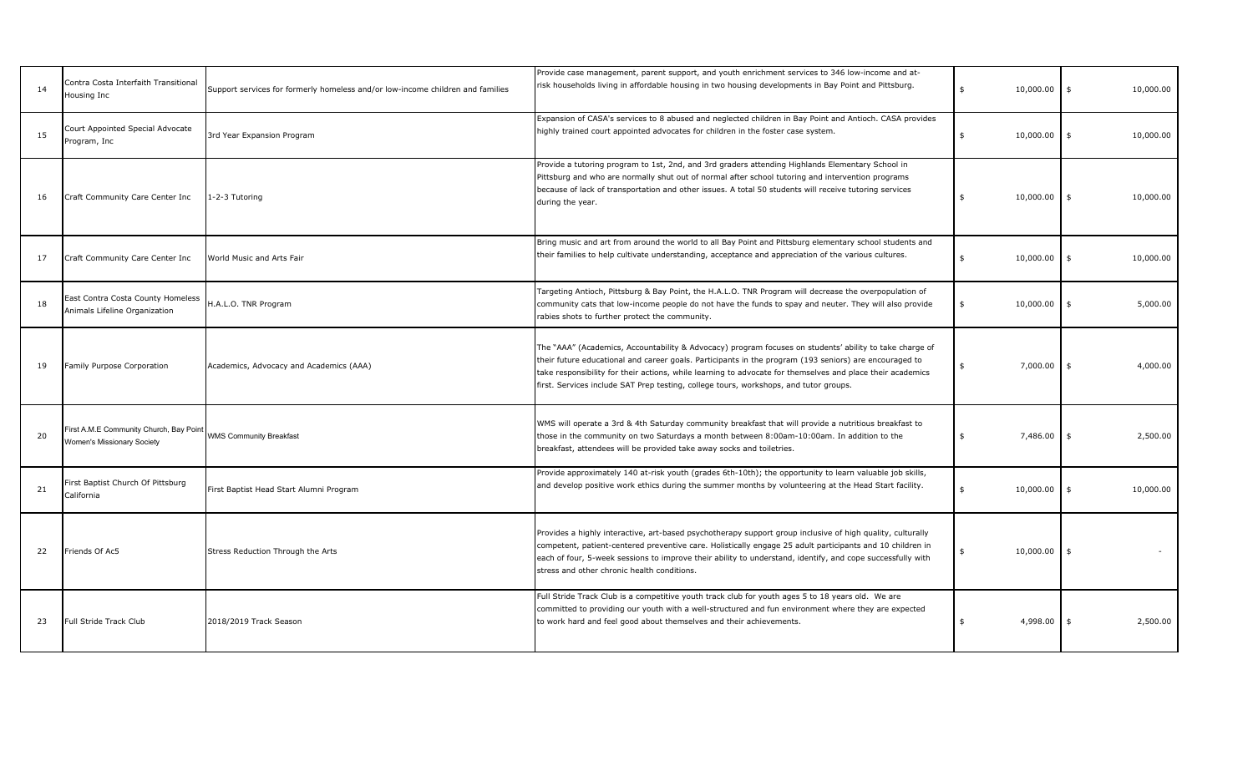| 14 | Contra Costa Interfaith Transitional<br>Housing Inc                          | Support services for formerly homeless and/or low-income children and families | Provide case management, parent support, and youth enrichment services to 346 low-income and at-<br>risk households living in affordable housing in two housing developments in Bay Point and Pittsburg.                                                                                                                                                                                                                 | 10,000.00<br>ፍ  | $\mathbf{\hat{a}}$<br>10,000.00 |
|----|------------------------------------------------------------------------------|--------------------------------------------------------------------------------|--------------------------------------------------------------------------------------------------------------------------------------------------------------------------------------------------------------------------------------------------------------------------------------------------------------------------------------------------------------------------------------------------------------------------|-----------------|---------------------------------|
| 15 | Court Appointed Special Advocate<br>Program, Inc                             | 3rd Year Expansion Program                                                     | Expansion of CASA's services to 8 abused and neglected children in Bay Point and Antioch. CASA provides<br>highly trained court appointed advocates for children in the foster case system.                                                                                                                                                                                                                              | 10,000.00<br>\$ | \$<br>10,000.00                 |
| 16 | Craft Community Care Center Inc                                              | 1-2-3 Tutoring                                                                 | Provide a tutoring program to 1st, 2nd, and 3rd graders attending Highlands Elementary School in<br>Pittsburg and who are normally shut out of normal after school tutoring and intervention programs<br>because of lack of transportation and other issues. A total 50 students will receive tutoring services<br>during the year.                                                                                      | 10,000.00<br>\$ | \$<br>10,000.00                 |
| 17 | Craft Community Care Center Inc                                              | World Music and Arts Fair                                                      | Bring music and art from around the world to all Bay Point and Pittsburg elementary school students and<br>their families to help cultivate understanding, acceptance and appreciation of the various cultures.                                                                                                                                                                                                          | 10,000.00<br>ፍ  | \$<br>10,000.00                 |
| 18 | East Contra Costa County Homeless<br>Animals Lifeline Organization           | H.A.L.O. TNR Program                                                           | Targeting Antioch, Pittsburg & Bay Point, the H.A.L.O. TNR Program will decrease the overpopulation of<br>community cats that low-income people do not have the funds to spay and neuter. They will also provide<br>rabies shots to further protect the community.                                                                                                                                                       | 10,000.00       | 5,000.00<br>- \$                |
| 19 | Family Purpose Corporation                                                   | Academics, Advocacy and Academics (AAA)                                        | The "AAA" (Academics, Accountability & Advocacy) program focuses on students' ability to take charge of<br>their future educational and career goals. Participants in the program (193 seniors) are encouraged to<br>take responsibility for their actions, while learning to advocate for themselves and place their academics<br>first. Services include SAT Prep testing, college tours, workshops, and tutor groups. | 7,000.00        | 4,000.00<br>\$                  |
| 20 | First A.M.E Community Church, Bay Point<br><b>Nomen's Missionary Society</b> | <b>WMS Community Breakfast</b>                                                 | WMS will operate a 3rd & 4th Saturday community breakfast that will provide a nutritious breakfast to<br>those in the community on two Saturdays a month between 8:00am-10:00am. In addition to the<br>breakfast, attendees will be provided take away socks and toiletries.                                                                                                                                             | 7,486.00        | 2,500.00<br>\$                  |
| 21 | First Baptist Church Of Pittsburg<br>California                              | First Baptist Head Start Alumni Program                                        | Provide approximately 140 at-risk youth (grades 6th-10th); the opportunity to learn valuable job skills,<br>and develop positive work ethics during the summer months by volunteering at the Head Start facility.                                                                                                                                                                                                        | 10,000.00       | 10,000.00<br>\$                 |
| 22 | Friends Of Ac5                                                               | Stress Reduction Through the Arts                                              | Provides a highly interactive, art-based psychotherapy support group inclusive of high quality, culturally<br>competent, patient-centered preventive care. Holistically engage 25 adult participants and 10 children in<br>each of four, 5-week sessions to improve their ability to understand, identify, and cope successfully with<br>stress and other chronic health conditions.                                     | 10,000.00       | $\mathbf{\hat{a}}$              |
| 23 | Full Stride Track Club                                                       | 2018/2019 Track Season                                                         | Full Stride Track Club is a competitive youth track club for youth ages 5 to 18 years old. We are<br>committed to providing our youth with a well-structured and fun environment where they are expected<br>to work hard and feel good about themselves and their achievements.                                                                                                                                          | 4,998.00<br>\$  | 2,500.00<br>\$                  |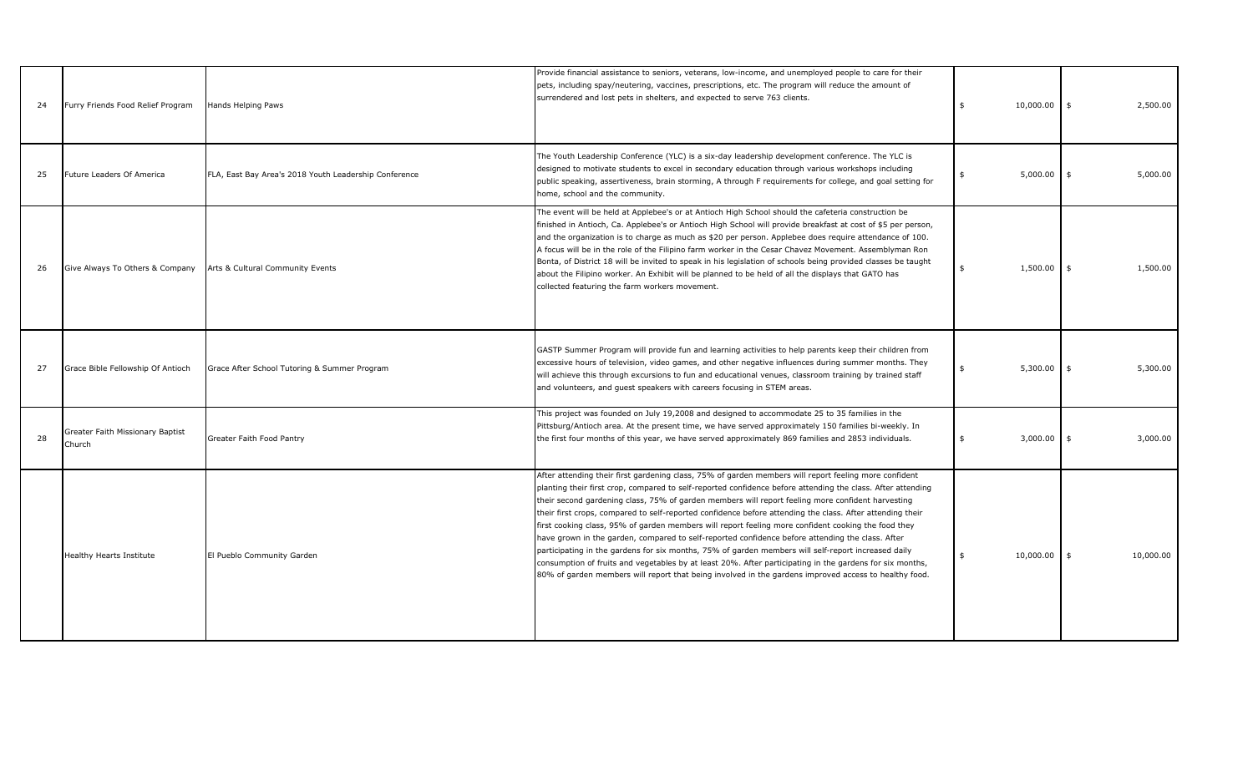| 24 | Furry Friends Food Relief Program          | Hands Helping Paws                                    | Provide financial assistance to seniors, veterans, low-income, and unemployed people to care for their<br>pets, including spay/neutering, vaccines, prescriptions, etc. The program will reduce the amount of<br>surrendered and lost pets in shelters, and expected to serve 763 clients.                                                                                                                                                                                                                                                                                                                                                                                                                                                                                                                                                                                                                                                                                    | 10,000.00<br>\$ | \$<br>2,500.00  |
|----|--------------------------------------------|-------------------------------------------------------|-------------------------------------------------------------------------------------------------------------------------------------------------------------------------------------------------------------------------------------------------------------------------------------------------------------------------------------------------------------------------------------------------------------------------------------------------------------------------------------------------------------------------------------------------------------------------------------------------------------------------------------------------------------------------------------------------------------------------------------------------------------------------------------------------------------------------------------------------------------------------------------------------------------------------------------------------------------------------------|-----------------|-----------------|
| 25 | Future Leaders Of America                  | FLA, East Bay Area's 2018 Youth Leadership Conference | The Youth Leadership Conference (YLC) is a six-day leadership development conference. The YLC is<br>designed to motivate students to excel in secondary education through various workshops including<br>public speaking, assertiveness, brain storming, A through F requirements for college, and goal setting for<br>home, school and the community.                                                                                                                                                                                                                                                                                                                                                                                                                                                                                                                                                                                                                        | 5,000.00<br>\$  | 5,000.00<br>\$  |
| 26 | Give Always To Others & Company            | Arts & Cultural Community Events                      | The event will be held at Applebee's or at Antioch High School should the cafeteria construction be<br>finished in Antioch, Ca. Applebee's or Antioch High School will provide breakfast at cost of \$5 per person,<br>and the organization is to charge as much as \$20 per person. Applebee does require attendance of 100.<br>A focus will be in the role of the Filipino farm worker in the Cesar Chavez Movement. Assemblyman Ron<br>Bonta, of District 18 will be invited to speak in his legislation of schools being provided classes be taught<br>about the Filipino worker. An Exhibit will be planned to be held of all the displays that GATO has<br>collected featuring the farm workers movement.                                                                                                                                                                                                                                                               | 1,500.00<br>\$  | 1,500.00<br>\$  |
| 27 | Grace Bible Fellowship Of Antioch          | Grace After School Tutoring & Summer Program          | GASTP Summer Program will provide fun and learning activities to help parents keep their children from<br>excessive hours of television, video games, and other negative influences during summer months. They<br>will achieve this through excursions to fun and educational venues, classroom training by trained staff<br>and volunteers, and guest speakers with careers focusing in STEM areas.                                                                                                                                                                                                                                                                                                                                                                                                                                                                                                                                                                          | 5,300.00        | 5,300.00<br>\$  |
| 28 | Greater Faith Missionary Baptist<br>Church | Greater Faith Food Pantry                             | This project was founded on July 19,2008 and designed to accommodate 25 to 35 families in the<br>Pittsburg/Antioch area. At the present time, we have served approximately 150 families bi-weekly. In<br>the first four months of this year, we have served approximately 869 families and 2853 individuals.                                                                                                                                                                                                                                                                                                                                                                                                                                                                                                                                                                                                                                                                  | 3,000.00<br>\$  | 3,000.00<br>\$  |
|    | Healthy Hearts Institute                   | El Pueblo Community Garden                            | After attending their first gardening class, 75% of garden members will report feeling more confident<br>planting their first crop, compared to self-reported confidence before attending the class. After attending<br>their second gardening class, 75% of garden members will report feeling more confident harvesting<br>their first crops, compared to self-reported confidence before attending the class. After attending their<br>first cooking class, 95% of garden members will report feeling more confident cooking the food they<br>have grown in the garden, compared to self-reported confidence before attending the class. After<br>participating in the gardens for six months, 75% of garden members will self-report increased daily<br>consumption of fruits and vegetables by at least 20%. After participating in the gardens for six months,<br>80% of garden members will report that being involved in the gardens improved access to healthy food. | 10,000.00       | 10,000.00<br>\$ |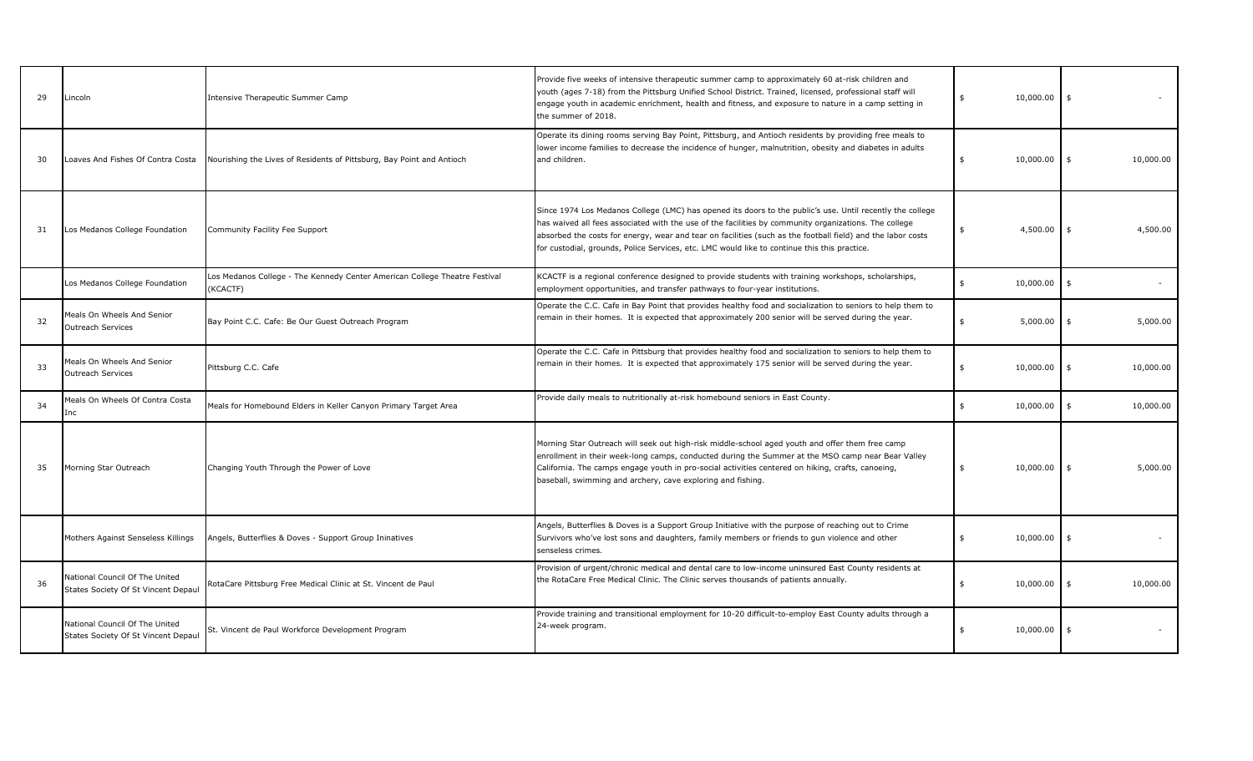| 29 | Lincoln                                                               | Intensive Therapeutic Summer Camp                                                      | Provide five weeks of intensive therapeutic summer camp to approximately 60 at-risk children and<br>youth (ages 7-18) from the Pittsburg Unified School District. Trained, licensed, professional staff will<br>engage youth in academic enrichment, health and fitness, and exposure to nature in a camp setting in<br>the summer of 2018.                                                                                       | 10,000.00       | \$                             |
|----|-----------------------------------------------------------------------|----------------------------------------------------------------------------------------|-----------------------------------------------------------------------------------------------------------------------------------------------------------------------------------------------------------------------------------------------------------------------------------------------------------------------------------------------------------------------------------------------------------------------------------|-----------------|--------------------------------|
| 30 | Loaves And Fishes Of Contra Costa                                     | Nourishing the Lives of Residents of Pittsburg, Bay Point and Antioch                  | Operate its dining rooms serving Bay Point, Pittsburg, and Antioch residents by providing free meals to<br>lower income families to decrease the incidence of hunger, malnutrition, obesity and diabetes in adults<br>and children.                                                                                                                                                                                               | 10,000.00       | 10,000.00<br>\$                |
| 31 | Los Medanos College Foundation                                        | Community Facility Fee Support                                                         | Since 1974 Los Medanos College (LMC) has opened its doors to the public's use. Until recently the college<br>has waived all fees associated with the use of the facilities by community organizations. The college<br>absorbed the costs for energy, wear and tear on facilities (such as the football field) and the labor costs<br>for custodial, grounds, Police Services, etc. LMC would like to continue this this practice. | 4,500.00        | 4,500.00<br>\$                 |
|    | Los Medanos College Foundation                                        | Los Medanos College - The Kennedy Center American College Theatre Festival<br>(KCACTF) | KCACTF is a regional conference designed to provide students with training workshops, scholarships,<br>employment opportunities, and transfer pathways to four-year institutions.                                                                                                                                                                                                                                                 | 10,000.00<br>\$ | $\mathsf{s}$                   |
| 32 | Meals On Wheels And Senior<br><b>Outreach Services</b>                | Bay Point C.C. Cafe: Be Our Guest Outreach Program                                     | Operate the C.C. Cafe in Bay Point that provides healthy food and socialization to seniors to help them to<br>remain in their homes. It is expected that approximately 200 senior will be served during the year.                                                                                                                                                                                                                 | 5,000.00        | 5,000.00<br>- \$               |
| 33 | Meals On Wheels And Senior<br><b>Outreach Services</b>                | Pittsburg C.C. Cafe                                                                    | Operate the C.C. Cafe in Pittsburg that provides healthy food and socialization to seniors to help them to<br>remain in their homes. It is expected that approximately 175 senior will be served during the year.                                                                                                                                                                                                                 | 10,000.00       | 10,000.00<br>\$                |
| 34 | Meals On Wheels Of Contra Costa<br>Inc                                | Meals for Homebound Elders in Keller Canyon Primary Target Area                        | Provide daily meals to nutritionally at-risk homebound seniors in East County.                                                                                                                                                                                                                                                                                                                                                    | 10,000.00<br>\$ | 10,000.00<br>$\ddot{\text{s}}$ |
| 35 | Morning Star Outreach                                                 | Changing Youth Through the Power of Love                                               | Morning Star Outreach will seek out high-risk middle-school aged youth and offer them free camp<br>enrollment in their week-long camps, conducted during the Summer at the MSO camp near Bear Valley<br>California. The camps engage youth in pro-social activities centered on hiking, crafts, canoeing,<br>baseball, swimming and archery, cave exploring and fishing.                                                          | 10,000.00<br>\$ | 5,000.00<br>\$                 |
|    | Mothers Against Senseless Killings                                    | Angels, Butterflies & Doves - Support Group Ininatives                                 | Angels, Butterflies & Doves is a Support Group Initiative with the purpose of reaching out to Crime<br>Survivors who've lost sons and daughters, family members or friends to gun violence and other<br>senseless crimes.                                                                                                                                                                                                         | 10,000.00       | -\$                            |
| 36 | National Council Of The United<br>States Society Of St Vincent Depaul | RotaCare Pittsburg Free Medical Clinic at St. Vincent de Paul                          | Provision of urgent/chronic medical and dental care to low-income uninsured East County residents at<br>the RotaCare Free Medical Clinic. The Clinic serves thousands of patients annually.                                                                                                                                                                                                                                       | 10,000.00<br>\$ | 10,000.00<br>\$                |
|    | National Council Of The United<br>States Society Of St Vincent Depaul | St. Vincent de Paul Workforce Development Program                                      | Provide training and transitional employment for 10-20 difficult-to-employ East County adults through a<br>24-week program.                                                                                                                                                                                                                                                                                                       | 10,000.00<br>\$ | \$                             |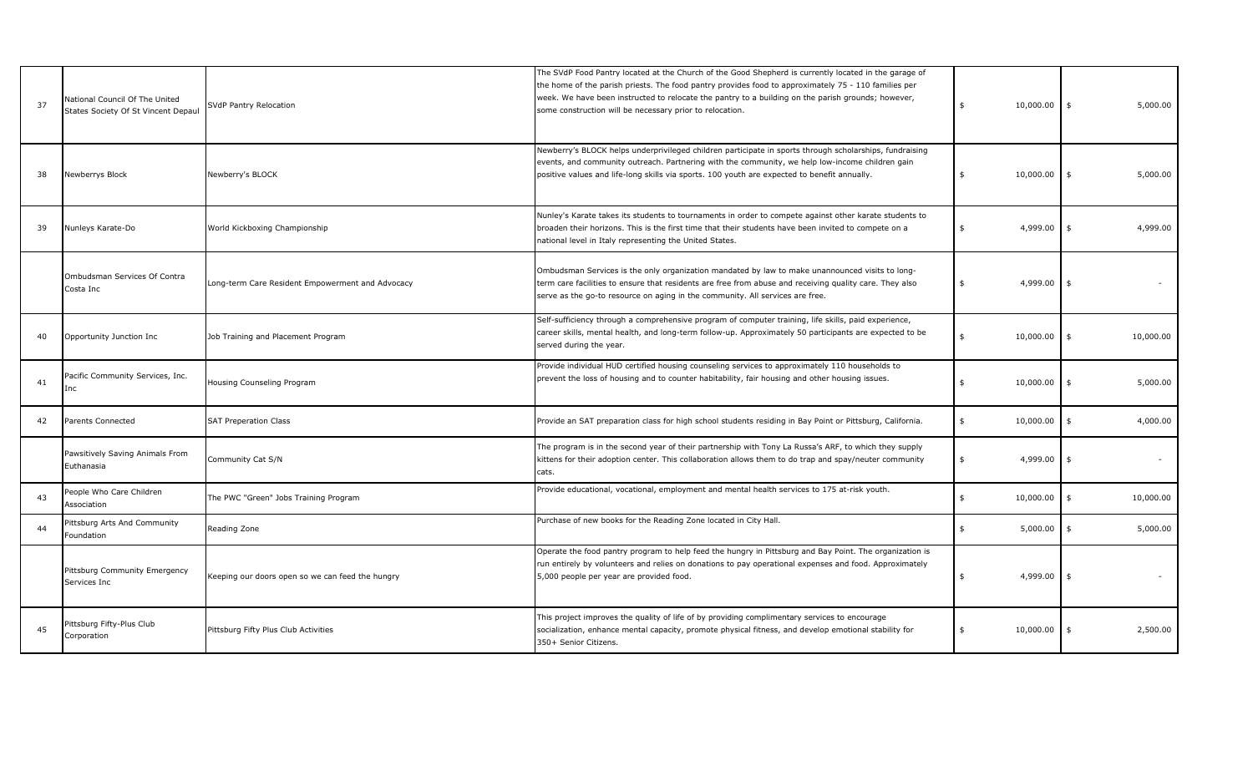| 37 | National Council Of The United<br>States Society Of St Vincent Depaul | SVdP Pantry Relocation                           | The SVdP Food Pantry located at the Church of the Good Shepherd is currently located in the garage of<br>the home of the parish priests. The food pantry provides food to approximately 75 - 110 families per<br>week. We have been instructed to relocate the pantry to a building on the parish grounds; however,<br>some construction will be necessary prior to relocation. | 10,000.00<br>\$ | \$<br>5,000.00              |
|----|-----------------------------------------------------------------------|--------------------------------------------------|---------------------------------------------------------------------------------------------------------------------------------------------------------------------------------------------------------------------------------------------------------------------------------------------------------------------------------------------------------------------------------|-----------------|-----------------------------|
| 38 | Newberrys Block                                                       | Newberry's BLOCK                                 | Newberry's BLOCK helps underprivileged children participate in sports through scholarships, fundraising<br>events, and community outreach. Partnering with the community, we help low-income children gain<br>positive values and life-long skills via sports. 100 youth are expected to benefit annually.                                                                      | 10,000.00<br>\$ | 5,000.00<br>\$              |
| 39 | Nunleys Karate-Do                                                     | World Kickboxing Championship                    | Nunley's Karate takes its students to tournaments in order to compete against other karate students to<br>broaden their horizons. This is the first time that their students have been invited to compete on a<br>national level in Italy representing the United States.                                                                                                       | 4,999.00        | 4,999.00<br>\$              |
|    | Ombudsman Services Of Contra<br>Costa Inc                             | Long-term Care Resident Empowerment and Advocacy | Ombudsman Services is the only organization mandated by law to make unannounced visits to long-<br>term care facilities to ensure that residents are free from abuse and receiving quality care. They also<br>serve as the go-to resource on aging in the community. All services are free.                                                                                     | 4,999.00<br>\$  | \$                          |
| 40 | Opportunity Junction Inc                                              | Job Training and Placement Program               | Self-sufficiency through a comprehensive program of computer training, life skills, paid experience,<br>career skills, mental health, and long-term follow-up. Approximately 50 participants are expected to be<br>served during the year.                                                                                                                                      | 10,000.00<br>\$ | 10,000.00<br>\$             |
| 41 | Pacific Community Services, Inc.<br>Inc                               | Housing Counseling Program                       | Provide individual HUD certified housing counseling services to approximately 110 households to<br>prevent the loss of housing and to counter habitability, fair housing and other housing issues.                                                                                                                                                                              | 10,000.00       | 5,000.00<br>\$              |
| 42 | Parents Connected                                                     | <b>SAT Preperation Class</b>                     | Provide an SAT preparation class for high school students residing in Bay Point or Pittsburg, California.                                                                                                                                                                                                                                                                       | 10,000.00<br>\$ | 4,000.00<br>$\mathfrak{s}$  |
|    | Pawsitively Saving Animals From<br>Euthanasia                         | Community Cat S/N                                | The program is in the second year of their partnership with Tony La Russa's ARF, to which they supply<br>kittens for their adoption center. This collaboration allows them to do trap and spay/neuter community<br>cats.                                                                                                                                                        | 4,999.00<br>\$  | \$                          |
| 43 | People Who Care Children<br>Association                               | The PWC "Green" Jobs Training Program            | Provide educational, vocational, employment and mental health services to 175 at-risk youth.                                                                                                                                                                                                                                                                                    | 10,000.00<br>\$ | $\mathfrak{s}$<br>10,000.00 |
| 44 | Pittsburg Arts And Community<br>Foundation                            | Reading Zone                                     | Purchase of new books for the Reading Zone located in City Hall.                                                                                                                                                                                                                                                                                                                | 5,000.00<br>\$  | 5,000.00<br>\$              |
|    | Pittsburg Community Emergency<br>Services Inc                         | Keeping our doors open so we can feed the hungry | Operate the food pantry program to help feed the hungry in Pittsburg and Bay Point. The organization is<br>run entirely by volunteers and relies on donations to pay operational expenses and food. Approximately<br>5,000 people per year are provided food.                                                                                                                   | 4,999.00<br>\$  | \$                          |
| 45 | Pittsburg Fifty-Plus Club<br>Corporation                              | Pittsburg Fifty Plus Club Activities             | This project improves the quality of life of by providing complimentary services to encourage<br>socialization, enhance mental capacity, promote physical fitness, and develop emotional stability for<br>350+ Senior Citizens.                                                                                                                                                 | 10,000.00       | 2,500.00<br>\$              |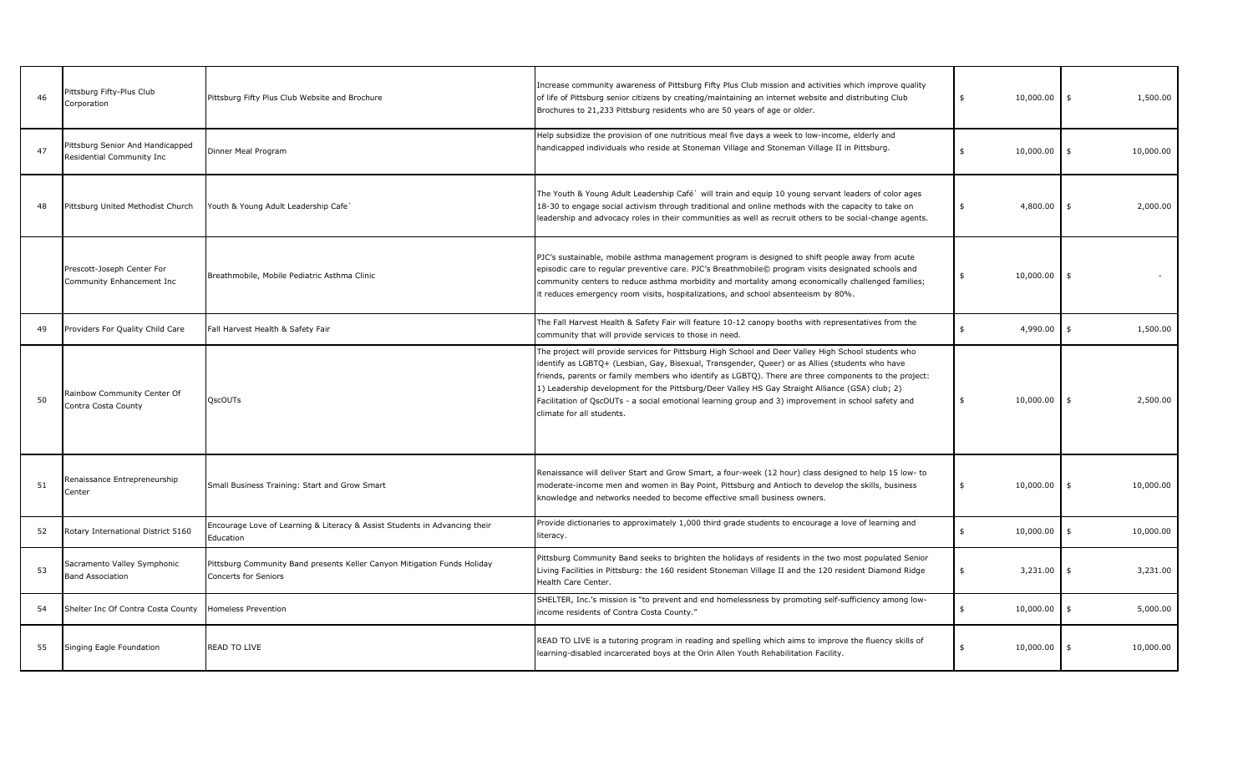| 46 | Pittsburg Fifty-Plus Club<br>Corporation                      | Pittsburg Fifty Plus Club Website and Brochure                                                          | Increase community awareness of Pittsburg Fifty Plus Club mission and activities which improve quality<br>of life of Pittsburg senior citizens by creating/maintaining an internet website and distributing Club<br>Brochures to 21,233 Pittsburg residents who are 50 years of age or older.                                                                                                                                                                                                                                                           | 10,000.00<br>\$ | 1,500.00<br>\$             |
|----|---------------------------------------------------------------|---------------------------------------------------------------------------------------------------------|---------------------------------------------------------------------------------------------------------------------------------------------------------------------------------------------------------------------------------------------------------------------------------------------------------------------------------------------------------------------------------------------------------------------------------------------------------------------------------------------------------------------------------------------------------|-----------------|----------------------------|
| 47 | Pittsburg Senior And Handicapped<br>Residential Community Inc | Dinner Meal Program                                                                                     | Help subsidize the provision of one nutritious meal five days a week to low-income, elderly and<br>handicapped individuals who reside at Stoneman Village and Stoneman Village II in Pittsburg.                                                                                                                                                                                                                                                                                                                                                         | 10,000.00       | \$<br>10,000.00            |
| 48 | Pittsburg United Methodist Church                             | Youth & Young Adult Leadership Cafe                                                                     | The Youth & Young Adult Leadership Café` will train and equip 10 young servant leaders of color ages<br>18-30 to engage social activism through traditional and online methods with the capacity to take on<br>leadership and advocacy roles in their communities as well as recruit others to be social-change agents.                                                                                                                                                                                                                                 | 4,800.00<br>\$  | 2,000.00<br>\$             |
|    | Prescott-Joseph Center For<br>Community Enhancement Inc       | Breathmobile, Mobile Pediatric Asthma Clinic                                                            | PJC's sustainable, mobile asthma management program is designed to shift people away from acute<br>episodic care to regular preventive care. PJC's Breathmobile© program visits designated schools and<br>community centers to reduce asthma morbidity and mortality among economically challenged families;<br>it reduces emergency room visits, hospitalizations, and school absenteeism by 80%.                                                                                                                                                      | 10,000.00       | $\mathfrak{s}$             |
| 49 | Providers For Quality Child Care                              | Fall Harvest Health & Safety Fair                                                                       | The Fall Harvest Health & Safety Fair will feature 10-12 canopy booths with representatives from the<br>community that will provide services to those in need.                                                                                                                                                                                                                                                                                                                                                                                          | 4,990.00<br>\$  | 1,500.00<br>$\mathfrak{s}$ |
| 50 | Rainbow Community Center Of<br>Contra Costa County            | <b>OscOUTs</b>                                                                                          | The project will provide services for Pittsburg High School and Deer Valley High School students who<br>identify as LGBTQ+ (Lesbian, Gay, Bisexual, Transgender, Queer) or as Allies (students who have<br>friends, parents or family members who identify as LGBTQ). There are three components to the project:<br>1) Leadership development for the Pittsburg/Deer Valley HS Gay Straight Alliance (GSA) club; 2)<br>Facilitation of QscOUTs - a social emotional learning group and 3) improvement in school safety and<br>climate for all students. | 10,000.00       | 2,500.00<br>$\mathfrak{s}$ |
| 51 | Renaissance Entrepreneurship<br>Center                        | Small Business Training: Start and Grow Smart                                                           | Renaissance will deliver Start and Grow Smart, a four-week (12 hour) class designed to help 15 low- to<br>moderate-income men and women in Bay Point, Pittsburg and Antioch to develop the skills, business<br>knowledge and networks needed to become effective small business owners.                                                                                                                                                                                                                                                                 | 10,000.00<br>\$ | $\frac{4}{3}$<br>10,000.00 |
| 52 | Rotary International District 5160                            | Encourage Love of Learning & Literacy & Assist Students in Advancing their<br>Education                 | Provide dictionaries to approximately 1,000 third grade students to encourage a love of learning and<br>literacy.                                                                                                                                                                                                                                                                                                                                                                                                                                       | 10,000.00<br>\$ | $\ddot{s}$<br>10,000.00    |
| 53 | Sacramento Valley Symphonic<br><b>Band Association</b>        | Pittsburg Community Band presents Keller Canyon Mitigation Funds Holiday<br><b>Concerts for Seniors</b> | Pittsburg Community Band seeks to brighten the holidays of residents in the two most populated Senior<br>Living Facilities in Pittsburg: the 160 resident Stoneman Village II and the 120 resident Diamond Ridge<br>Health Care Center.                                                                                                                                                                                                                                                                                                                 | 3,231.00        | 3,231.00<br>\$             |
| 54 | Shelter Inc Of Contra Costa County                            | <b>Homeless Prevention</b>                                                                              | SHELTER, Inc.'s mission is "to prevent and end homelessness by promoting self-sufficiency among low-<br>income residents of Contra Costa County."                                                                                                                                                                                                                                                                                                                                                                                                       | 10,000.00<br>\$ | $\ddot{s}$<br>5,000.00     |
| 55 | Singing Eagle Foundation                                      | <b>READ TO LIVE</b>                                                                                     | READ TO LIVE is a tutoring program in reading and spelling which aims to improve the fluency skills of<br>learning-disabled incarcerated boys at the Orin Allen Youth Rehabilitation Facility.                                                                                                                                                                                                                                                                                                                                                          | 10,000.00       | \$<br>10,000.00            |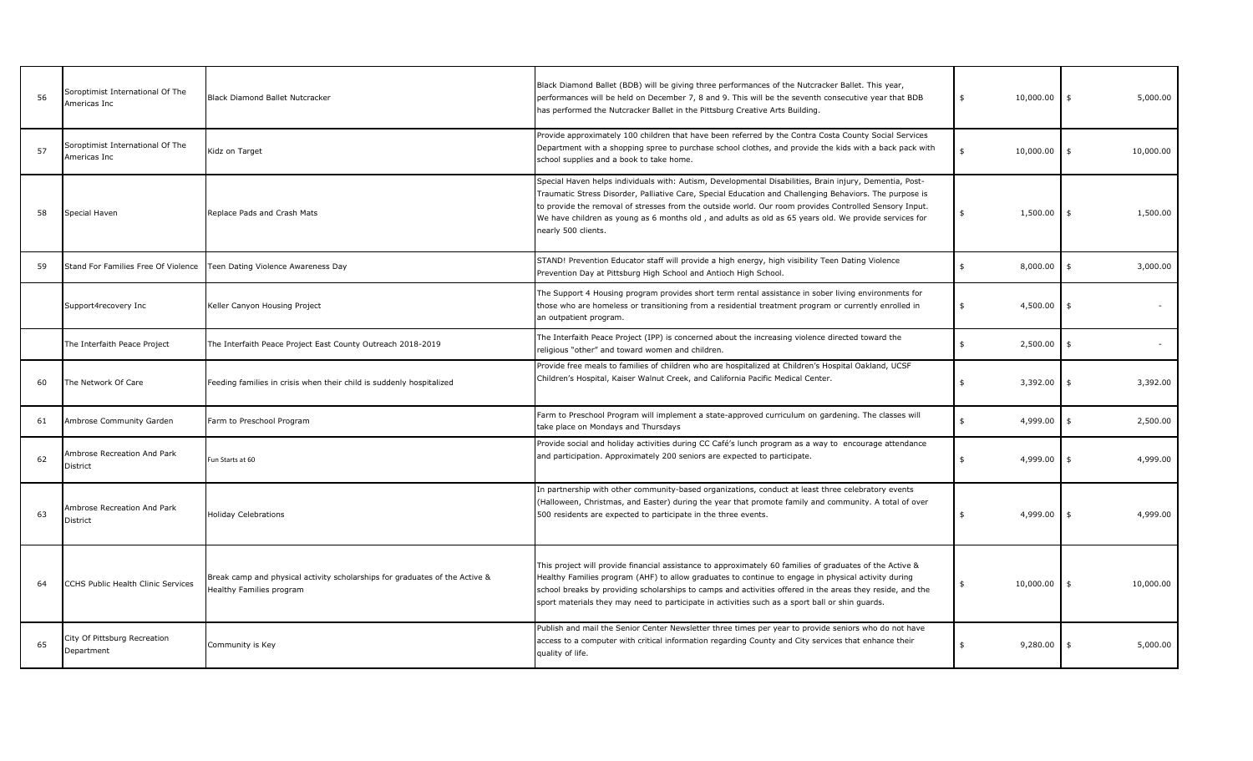| 56 | Soroptimist International Of The<br>Americas Inc | Black Diamond Ballet Nutcracker                                                                         | Black Diamond Ballet (BDB) will be giving three performances of the Nutcracker Ballet. This year,<br>performances will be held on December 7, 8 and 9. This will be the seventh consecutive year that BDB<br>has performed the Nutcracker Ballet in the Pittsburg Creative Arts Building.                                                                                                                                                                    | 10,000.00<br>\$ | 5,000.00<br>$\frac{4}{3}$ |
|----|--------------------------------------------------|---------------------------------------------------------------------------------------------------------|--------------------------------------------------------------------------------------------------------------------------------------------------------------------------------------------------------------------------------------------------------------------------------------------------------------------------------------------------------------------------------------------------------------------------------------------------------------|-----------------|---------------------------|
| 57 | Soroptimist International Of The<br>Americas Inc | Kidz on Target                                                                                          | Provide approximately 100 children that have been referred by the Contra Costa County Social Services<br>Department with a shopping spree to purchase school clothes, and provide the kids with a back pack with<br>school supplies and a book to take home.                                                                                                                                                                                                 | 10,000.00       | 10,000.00<br>\$           |
| 58 | Special Haven                                    | Replace Pads and Crash Mats                                                                             | Special Haven helps individuals with: Autism, Developmental Disabilities, Brain injury, Dementia, Post-<br>Traumatic Stress Disorder, Palliative Care, Special Education and Challenging Behaviors. The purpose is<br>to provide the removal of stresses from the outside world. Our room provides Controlled Sensory Input.<br>We have children as young as 6 months old, and adults as old as 65 years old. We provide services for<br>nearly 500 clients. | 1,500.00        | 1,500.00                  |
| 59 |                                                  | Stand For Families Free Of Violence   Teen Dating Violence Awareness Day                                | STAND! Prevention Educator staff will provide a high energy, high visibility Teen Dating Violence<br>Prevention Day at Pittsburg High School and Antioch High School.                                                                                                                                                                                                                                                                                        | \$<br>8,000.00  | \$<br>3,000.00            |
|    | Support4recovery Inc                             | Keller Canyon Housing Project                                                                           | The Support 4 Housing program provides short term rental assistance in sober living environments for<br>those who are homeless or transitioning from a residential treatment program or currently enrolled in<br>an outpatient program.                                                                                                                                                                                                                      | 4,500.00<br>\$  |                           |
|    | The Interfaith Peace Project                     | The Interfaith Peace Project East County Outreach 2018-2019                                             | The Interfaith Peace Project (IPP) is concerned about the increasing violence directed toward the<br>religious "other" and toward women and children.                                                                                                                                                                                                                                                                                                        | 2,500.00<br>\$  | $\omega$                  |
| 60 | The Network Of Care                              | Feeding families in crisis when their child is suddenly hospitalized                                    | Provide free meals to families of children who are hospitalized at Children's Hospital Oakland, UCSF<br>Children's Hospital, Kaiser Walnut Creek, and California Pacific Medical Center.                                                                                                                                                                                                                                                                     | 3,392.00<br>\$  | 3,392.00                  |
| 61 | Ambrose Community Garden                         | Farm to Preschool Program                                                                               | Farm to Preschool Program will implement a state-approved curriculum on gardening. The classes will<br>take place on Mondays and Thursdays                                                                                                                                                                                                                                                                                                                   | 4,999.00<br>\$  | 2,500.00                  |
| 62 | Ambrose Recreation And Park<br>District          | Fun Starts at 60                                                                                        | Provide social and holiday activities during CC Café's lunch program as a way to encourage attendance<br>and participation. Approximately 200 seniors are expected to participate.                                                                                                                                                                                                                                                                           | 4,999.00<br>\$  | 4,999.00                  |
| 63 | Ambrose Recreation And Park<br><b>District</b>   | <b>Holiday Celebrations</b>                                                                             | In partnership with other community-based organizations, conduct at least three celebratory events<br>(Halloween, Christmas, and Easter) during the year that promote family and community. A total of over<br>500 residents are expected to participate in the three events.                                                                                                                                                                                | 4,999.00<br>\$  | 4,999.00<br>\$            |
| 64 | CCHS Public Health Clinic Services               | Break camp and physical activity scholarships for graduates of the Active &<br>Healthy Families program | This project will provide financial assistance to approximately 60 families of graduates of the Active &<br>Healthy Families program (AHF) to allow graduates to continue to engage in physical activity during<br>school breaks by providing scholarships to camps and activities offered in the areas they reside, and the<br>sport materials they may need to participate in activities such as a sport ball or shin guards.                              | 10,000.00<br>\$ | 10,000.00<br>\$           |
| 65 | City Of Pittsburg Recreation<br>Department       | Community is Key                                                                                        | Publish and mail the Senior Center Newsletter three times per year to provide seniors who do not have<br>access to a computer with critical information regarding County and City services that enhance their<br>quality of life.                                                                                                                                                                                                                            | 9,280.00        | 5,000.00                  |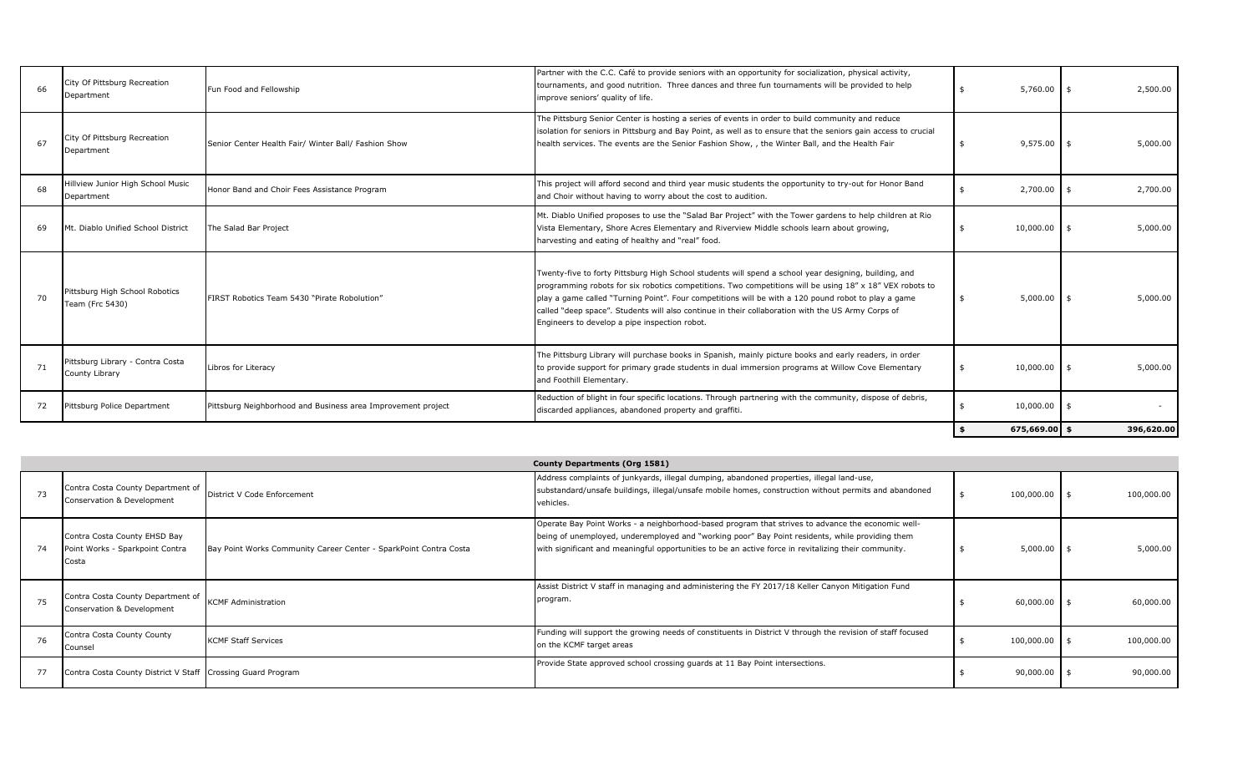| 66 | City Of Pittsburg Recreation<br>Department         | Fun Food and Fellowship                                      | Partner with the C.C. Café to provide seniors with an opportunity for socialization, physical activity,<br>tournaments, and good nutrition. Three dances and three fun tournaments will be provided to help<br>improve seniors' quality of life.                                                                                                                                                                                                                               | 5,760.00      | - \$ | 2,500.00   |
|----|----------------------------------------------------|--------------------------------------------------------------|--------------------------------------------------------------------------------------------------------------------------------------------------------------------------------------------------------------------------------------------------------------------------------------------------------------------------------------------------------------------------------------------------------------------------------------------------------------------------------|---------------|------|------------|
| 67 | City Of Pittsburg Recreation<br>Department         | Senior Center Health Fair/ Winter Ball/ Fashion Show         | The Pittsburg Senior Center is hosting a series of events in order to build community and reduce<br>isolation for seniors in Pittsburg and Bay Point, as well as to ensure that the seniors gain access to crucial<br>health services. The events are the Senior Fashion Show, , the Winter Ball, and the Health Fair                                                                                                                                                          | 9,575.00      |      | 5,000.00   |
| 68 | Hillview Junior High School Music<br>Department    | Honor Band and Choir Fees Assistance Program                 | This project will afford second and third year music students the opportunity to try-out for Honor Band<br>and Choir without having to worry about the cost to audition.                                                                                                                                                                                                                                                                                                       | 2,700.00      |      | 2,700.00   |
| 69 | Mt. Diablo Unified School District                 | The Salad Bar Project                                        | Mt. Diablo Unified proposes to use the "Salad Bar Project" with the Tower gardens to help children at Rio<br>Vista Elementary, Shore Acres Elementary and Riverview Middle schools learn about growing,<br>harvesting and eating of healthy and "real" food.                                                                                                                                                                                                                   | 10,000.00     | - \$ | 5,000.00   |
| 70 | Pittsburg High School Robotics<br>Team (Frc 5430)  | FIRST Robotics Team 5430 "Pirate Robolution"                 | Twenty-five to forty Pittsburg High School students will spend a school year designing, building, and<br>programming robots for six robotics competitions. Two competitions will be using 18" x 18" VEX robots to<br>play a game called "Turning Point". Four competitions will be with a 120 pound robot to play a game<br>called "deep space". Students will also continue in their collaboration with the US Army Corps of<br>Engineers to develop a pipe inspection robot. | 5,000.00      |      | 5,000.00   |
| 71 | Pittsburg Library - Contra Costa<br>County Library | Libros for Literacy                                          | The Pittsburg Library will purchase books in Spanish, mainly picture books and early readers, in order<br>to provide support for primary grade students in dual immersion programs at Willow Cove Elementary<br>and Foothill Elementary.                                                                                                                                                                                                                                       | 10,000.00     |      | 5,000.00   |
| 72 | Pittsburg Police Department                        | Pittsburg Neighborhood and Business area Improvement project | Reduction of blight in four specific locations. Through partnering with the community, dispose of debris,<br>discarded appliances, abandoned property and graffiti.                                                                                                                                                                                                                                                                                                            | 10,000.00     |      |            |
|    |                                                    |                                                              |                                                                                                                                                                                                                                                                                                                                                                                                                                                                                | 675,669.00 \$ |      | 396,620.00 |

|    |                                                                          |                                                                   | County Departments (Org 1581)                                                                                                                                                                                                                                                                                |                |            |
|----|--------------------------------------------------------------------------|-------------------------------------------------------------------|--------------------------------------------------------------------------------------------------------------------------------------------------------------------------------------------------------------------------------------------------------------------------------------------------------------|----------------|------------|
| 73 | Contra Costa County Department of<br>Conservation & Development          | District V Code Enforcement                                       | Address complaints of junkyards, illegal dumping, abandoned properties, illegal land-use,<br>substandard/unsafe buildings, illegal/unsafe mobile homes, construction without permits and abandoned<br>vehicles.                                                                                              | 100,000.00 \$  | 100,000.00 |
| 74 | Contra Costa County EHSD Bay<br>Point Works - Sparkpoint Contra<br>Costa | Bay Point Works Community Career Center - SparkPoint Contra Costa | Operate Bay Point Works - a neighborhood-based program that strives to advance the economic well-<br>being of unemployed, underemployed and "working poor" Bay Point residents, while providing them<br>with significant and meaningful opportunities to be an active force in revitalizing their community. | $5,000.00$ \$  | 5,000.00   |
| 75 | Contra Costa County Department of<br>Conservation & Development          | <b>KCMF Administration</b>                                        | Assist District V staff in managing and administering the FY 2017/18 Keller Canyon Mitigation Fund<br>program.                                                                                                                                                                                               | $60,000.00$ \$ | 60,000.00  |
| 76 | Contra Costa County County<br>Counsel                                    | <b>KCMF Staff Services</b>                                        | Funding will support the growing needs of constituents in District V through the revision of staff focused<br>on the KCMF target areas                                                                                                                                                                       | 100,000.00 \$  | 100,000.00 |
| 77 | Contra Costa County District V Staff Crossing Guard Program              |                                                                   | Provide State approved school crossing guards at 11 Bay Point intersections.                                                                                                                                                                                                                                 | $90,000.00$ \$ | 90,000.00  |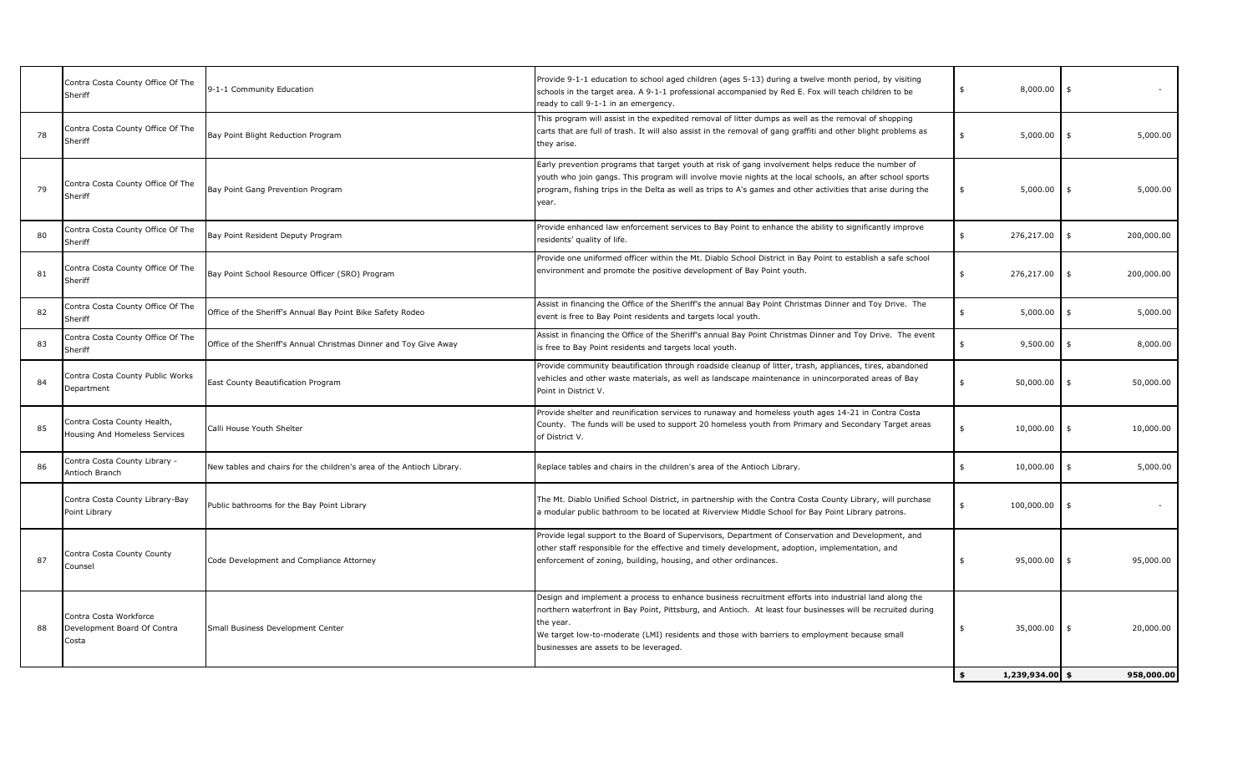|    | Contra Costa County Office Of The<br>Sheriff                   | 9-1-1 Community Education                                             | Provide 9-1-1 education to school aged children (ages 5-13) during a twelve month period, by visiting<br>schools in the target area. A 9-1-1 professional accompanied by Red E. Fox will teach children to be<br>ready to call 9-1-1 in an emergency.                                                                                                                        | 8,000.00                              |                  |
|----|----------------------------------------------------------------|-----------------------------------------------------------------------|------------------------------------------------------------------------------------------------------------------------------------------------------------------------------------------------------------------------------------------------------------------------------------------------------------------------------------------------------------------------------|---------------------------------------|------------------|
| 78 | Contra Costa County Office Of The<br>Sheriff                   | Bay Point Blight Reduction Program                                    | This program will assist in the expedited removal of litter dumps as well as the removal of shopping<br>carts that are full of trash. It will also assist in the removal of gang graffiti and other blight problems as<br>they arise.                                                                                                                                        | 5,000.00                              | 5,000.00         |
| 79 | Contra Costa County Office Of The<br>Sheriff                   | Bay Point Gang Prevention Program                                     | Early prevention programs that target youth at risk of gang involvement helps reduce the number of<br>youth who join gangs. This program will involve movie nights at the local schools, an after school sports<br>program, fishing trips in the Delta as well as trips to A's games and other activities that arise during the<br>year.                                     | 5,000.00                              | 5,000.00<br>\$   |
| 80 | Contra Costa County Office Of The<br>Sheriff                   | Bay Point Resident Deputy Program                                     | Provide enhanced law enforcement services to Bay Point to enhance the ability to significantly improve<br>residents' quality of life.                                                                                                                                                                                                                                        | 276,217.00<br>\$                      | \$<br>200,000.00 |
| 81 | Contra Costa County Office Of The<br>Sheriff                   | Bay Point School Resource Officer (SRO) Program                       | Provide one uniformed officer within the Mt. Diablo School District in Bay Point to establish a safe school<br>environment and promote the positive development of Bay Point youth.                                                                                                                                                                                          | 276,217.00<br>\$                      | 200,000.00<br>\$ |
| 82 | Contra Costa County Office Of The<br>Sheriff                   | Office of the Sheriff's Annual Bay Point Bike Safety Rodeo            | Assist in financing the Office of the Sheriff's the annual Bay Point Christmas Dinner and Toy Drive. The<br>event is free to Bay Point residents and targets local youth.                                                                                                                                                                                                    | 5,000.00                              | 5,000.00<br>\$   |
| 83 | Contra Costa County Office Of The<br>Sheriff                   | Office of the Sheriff's Annual Christmas Dinner and Toy Give Away     | Assist in financing the Office of the Sheriff's annual Bay Point Christmas Dinner and Toy Drive. The event<br>is free to Bay Point residents and targets local youth.                                                                                                                                                                                                        | 9,500.00<br>\$                        | 8,000.00<br>\$   |
| 84 | Contra Costa County Public Works<br>Department                 | East County Beautification Program                                    | Provide community beautification through roadside cleanup of litter, trash, appliances, tires, abandoned<br>vehicles and other waste materials, as well as landscape maintenance in unincorporated areas of Bay<br>Point in District V.                                                                                                                                      | 50,000.00                             | 50,000.00        |
| 85 | Contra Costa County Health,<br>Housing And Homeless Services   | Calli House Youth Shelter                                             | Provide shelter and reunification services to runaway and homeless youth ages 14-21 in Contra Costa<br>County. The funds will be used to support 20 homeless youth from Primary and Secondary Target areas<br>of District V.                                                                                                                                                 | 10,000.00                             | 10,000.00        |
| 86 | Contra Costa County Library -<br>Antioch Branch                | New tables and chairs for the children's area of the Antioch Library. | Replace tables and chairs in the children's area of the Antioch Library.                                                                                                                                                                                                                                                                                                     | \$<br>10,000.00                       | 5,000.00<br>\$   |
|    | Contra Costa County Library-Bay<br>Point Library               | Public bathrooms for the Bay Point Library                            | The Mt. Diablo Unified School District, in partnership with the Contra Costa County Library, will purchase<br>a modular public bathroom to be located at Riverview Middle School for Bay Point Library patrons.                                                                                                                                                              | 100,000.00                            |                  |
| 87 | Contra Costa County County<br>Counsel                          | Code Development and Compliance Attorney                              | Provide legal support to the Board of Supervisors, Department of Conservation and Development, and<br>other staff responsible for the effective and timely development, adoption, implementation, and<br>enforcement of zoning, building, housing, and other ordinances.                                                                                                     | 95,000.00<br>\$                       | 95,000.00<br>\$  |
| 88 | Contra Costa Workforce<br>Development Board Of Contra<br>Costa | Small Business Development Center                                     | Design and implement a process to enhance business recruitment efforts into industrial land along the<br>northern waterfront in Bay Point, Pittsburg, and Antioch. At least four businesses will be recruited during<br>the year.<br>We target low-to-moderate (LMI) residents and those with barriers to employment because small<br>businesses are assets to be leveraged. | 35,000.00                             | 20,000.00<br>\$  |
|    |                                                                |                                                                       |                                                                                                                                                                                                                                                                                                                                                                              | $1,239,934.00$ \$<br>$\ddot{\bullet}$ | 958,000,00       |